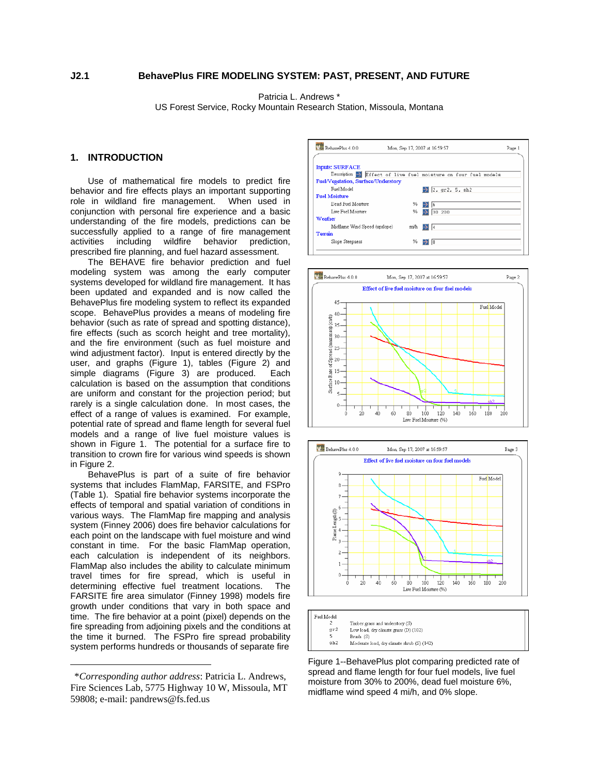Patricia L. Andrews \*

US Forest Service, Rocky Mountain Research Station, Missoula, Montana

## **1. INTRODUCTION**

Use of mathematical fire models to predict fire behavior and fire effects plays an important supporting role in wildland fire management. When used in conjunction with personal fire experience and a basic understanding of the fire models, predictions can be successfully applied to a range of fire management activities including wildfire behavior prediction, prescribed fire planning, and fuel hazard assessment.

The BEHAVE fire behavior prediction and fuel modeling system was among the early computer systems developed for wildland fire management. It has been updated and expanded and is now called the BehavePlus fire modeling system to reflect its expanded scope. BehavePlus provides a means of modeling fire behavior (such as rate of spread and spotting distance), fire effects (such as scorch height and tree mortality), and the fire environment (such as fuel moisture and wind adjustment factor). Input is entered directly by the user, and graphs [\(Figure 1](#page-0-0)), tables [\(Figure 2\)](#page-1-0) and simple diagrams ([Figure 3\)](#page-1-1) are produced. Each calculation is based on the assumption that conditions are uniform and constant for the projection period; but rarely is a single calculation done. In most cases, the effect of a range of values is examined. For example, potential rate of spread and flame length for several fuel models and a range of live fuel moisture values is shown in [Figure 1.](#page-0-0) The potential for a surface fire to transition to crown fire for various wind speeds is shown in [Figure 2](#page-1-0).

BehavePlus is part of a suite of fire behavior systems that includes FlamMap, FARSITE, and FSPro ([Table 1](#page-2-0)). Spatial fire behavior systems incorporate the effects of temporal and spatial variation of conditions in various ways. The FlamMap fire mapping and analysis system (Finney 2006) does fire behavior calculations for each point on the landscape with fuel moisture and wind constant in time. For the basic FlamMap operation, each calculation is independent of its neighbors. FlamMap also includes the ability to calculate minimum travel times for fire spread, which is useful in determining effective fuel treatment locations. The FARSITE fire area simulator (Finney 1998) models fire growth under conditions that vary in both space and time. The fire behavior at a point (pixel) depends on the fire spreading from adjoining pixels and the conditions at the time it burned. The FSPro fire spread probability system performs hundreds or thousands of separate fire

<span id="page-0-0"></span> $\overline{a}$ 







Figure 1--BehavePlus plot comparing predicted rate of spread and flame length for four fuel models, live fuel moisture from 30% to 200%, dead fuel moisture 6%, midflame wind speed 4 mi/h, and 0% slope.

 <sup>\*</sup>*Corresponding author address*: Patricia L. Andrews, Fire Sciences Lab, 5775 Highway 10 W, Missoula, MT 59808; e-mail: pandrews@fs.fed.us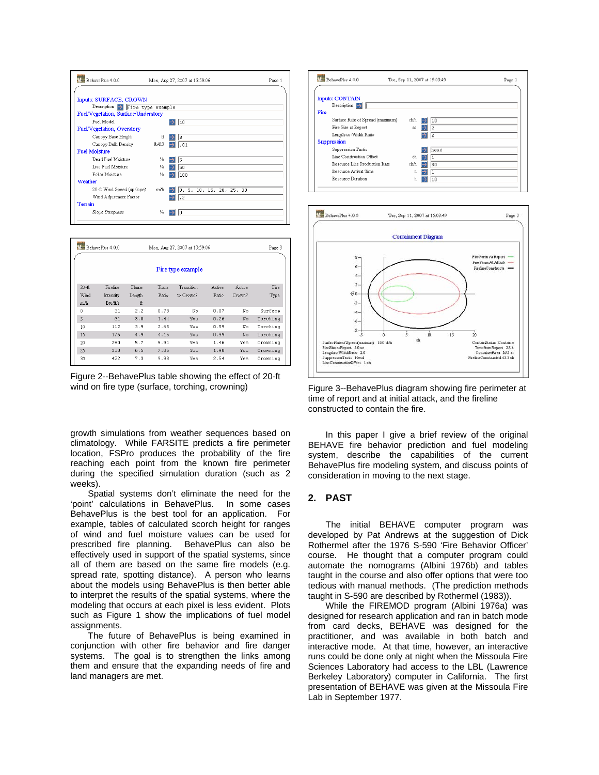

|           | BehavePhis 4 0 0<br>Mon, Aug 27, 2007 at 13:59:06 |        |       |                   |               |               | Page 3   |
|-----------|---------------------------------------------------|--------|-------|-------------------|---------------|---------------|----------|
|           |                                                   |        |       | Fire type example |               |               |          |
| $20 - ft$ | Fireline                                          | Flame  | Trans | Transition        | <b>Active</b> | <b>Active</b> | Fire     |
| Wind      | Intensity                                         | Length | Ratio | to Crown?         | Ratio         | Crown?        | Type     |
| mi/h      | Btuft/s                                           | ft     |       |                   |               |               |          |
| 0         | 31                                                | 2.2    | 0.73  | No                | 0.07          | No            | Surface  |
| 5         | 61                                                | 3.0    | 1.44  | Yes               | 0.26          | No            | Torching |
| 10        | 112                                               | 3.9    | 2.65  | Yes               | 0.59          | No            | Torching |
| 15        | 176                                               | 4.9    | 4.16  | Yes               | 0.99          | No            | Torching |
| 20        | 250                                               | 5.7    | 5.91  | Yes               | 1.46          | Yes.          | Crowning |
| 25        | 333                                               | 6.5    | 7.86  | Yes               | 1.98          | Yes           | Crowning |
| 30        | 422                                               | 7.3    | 9.98  | Yes               | 2.54          | Yes           | Crowning |

<span id="page-1-1"></span><span id="page-1-0"></span>Figure 2--BehavePlus table showing the effect of 20-ft wind on fire type (surface, torching, crowning)

growth simulations from weather sequences based on climatology. While FARSITE predicts a fire perimeter location, FSPro produces the probability of the fire reaching each point from the known fire perimeter during the specified simulation duration (such as 2 weeks).

Spatial systems don't eliminate the need for the 'point' calculations in BehavePlus. In some cases BehavePlus is the best tool for an application. For example, tables of calculated scorch height for ranges of wind and fuel moisture values can be used for prescribed fire planning. BehavePlus can also be effectively used in support of the spatial systems, since all of them are based on the same fire models (e.g. spread rate, spotting distance). A person who learns about the models using BehavePlus is then better able to interpret the results of the spatial systems, where the modeling that occurs at each pixel is less evident. Plots such as [Figure 1](#page-0-0) show the implications of fuel model assignments.

The future of BehavePlus is being examined in conjunction with other fire behavior and fire danger systems. The goal is to strengthen the links among them and ensure that the expanding needs of fire and land managers are met.





Figure 3--BehavePlus diagram showing fire perimeter at time of report and at initial attack, and the fireline constructed to contain the fire.

In this paper I give a brief review of the original BEHAVE fire behavior prediction and fuel modeling system, describe the capabilities of the current BehavePlus fire modeling system, and discuss points of consideration in moving to the next stage.

## **2. PAST**

The initial BEHAVE computer program was developed by Pat Andrews at the suggestion of Dick Rothermel after the 1976 S-590 'Fire Behavior Officer' course. He thought that a computer program could automate the nomograms (Albini 1976b) and tables taught in the course and also offer options that were too tedious with manual methods. (The prediction methods taught in S-590 are described by Rothermel (1983)).

While the FIREMOD program (Albini 1976a) was designed for research application and ran in batch mode from card decks, BEHAVE was designed for the practitioner, and was available in both batch and interactive mode. At that time, however, an interactive runs could be done only at night when the Missoula Fire Sciences Laboratory had access to the LBL (Lawrence Berkeley Laboratory) computer in California. The first presentation of BEHAVE was given at the Missoula Fire Lab in September 1977.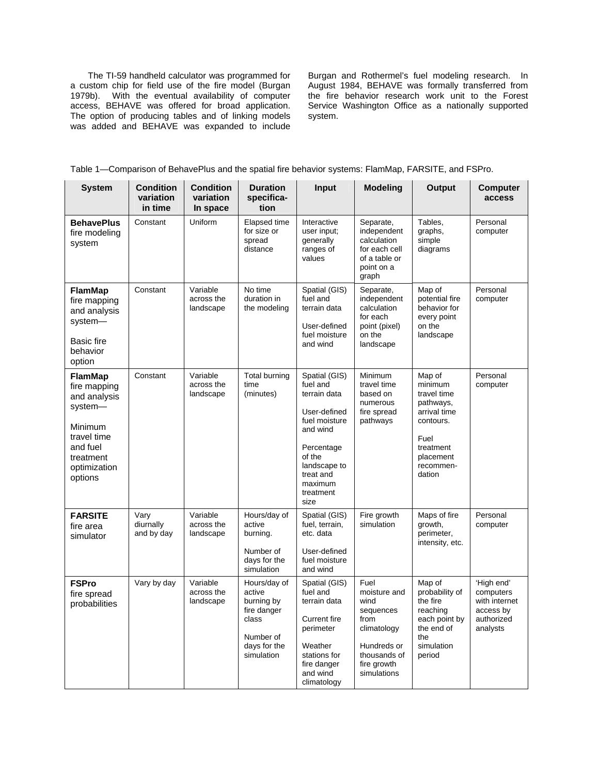The TI-59 handheld calculator was programmed for a custom chip for field use of the fire model (Burgan 1979b). With the eventual availability of computer access, BEHAVE was offered for broad application. The option of producing tables and of linking models was added and BEHAVE was expanded to include

Burgan and Rothermel's fuel modeling research. In August 1984, BEHAVE was formally transferred from the fire behavior research work unit to the Forest Service Washington Office as a nationally supported system.

|  |  | Table 1—Comparison of BehavePlus and the spatial fire behavior systems: FlamMap, FARSITE, and FSPro. |  |  |
|--|--|------------------------------------------------------------------------------------------------------|--|--|
|--|--|------------------------------------------------------------------------------------------------------|--|--|

<span id="page-2-0"></span>

| <b>System</b>                                                                                                                           | <b>Condition</b><br>variation<br>in time | <b>Condition</b><br>variation<br>In space | <b>Duration</b><br>specifica-<br>tion                                                                   | Input                                                                                                                                                                       | <b>Modeling</b>                                                                                                               | Output                                                                                                                              | <b>Computer</b><br>access                                                       |
|-----------------------------------------------------------------------------------------------------------------------------------------|------------------------------------------|-------------------------------------------|---------------------------------------------------------------------------------------------------------|-----------------------------------------------------------------------------------------------------------------------------------------------------------------------------|-------------------------------------------------------------------------------------------------------------------------------|-------------------------------------------------------------------------------------------------------------------------------------|---------------------------------------------------------------------------------|
| <b>BehavePlus</b><br>fire modeling<br>system                                                                                            | Constant                                 | Uniform                                   | Elapsed time<br>for size or<br>spread<br>distance                                                       | Interactive<br>user input;<br>generally<br>ranges of<br>values                                                                                                              | Separate,<br>independent<br>calculation<br>for each cell<br>of a table or<br>point on a<br>graph                              | Tables,<br>graphs,<br>simple<br>diagrams                                                                                            | Personal<br>computer                                                            |
| <b>FlamMap</b><br>fire mapping<br>and analysis<br>system-<br><b>Basic fire</b><br>behavior<br>option                                    | Constant                                 | Variable<br>across the<br>landscape       | No time<br>duration in<br>the modeling                                                                  | Spatial (GIS)<br>fuel and<br>terrain data<br>User-defined<br>fuel moisture<br>and wind                                                                                      | Separate,<br>independent<br>calculation<br>for each<br>point (pixel)<br>on the<br>landscape                                   | Map of<br>potential fire<br>behavior for<br>every point<br>on the<br>landscape                                                      | Personal<br>computer                                                            |
| <b>FlamMap</b><br>fire mapping<br>and analysis<br>system-<br>Minimum<br>travel time<br>and fuel<br>treatment<br>optimization<br>options | Constant                                 | Variable<br>across the<br>landscape       | Total burning<br>time<br>(minutes)                                                                      | Spatial (GIS)<br>fuel and<br>terrain data<br>User-defined<br>fuel moisture<br>and wind<br>Percentage<br>of the<br>landscape to<br>treat and<br>maximum<br>treatment<br>size | Minimum<br>travel time<br>based on<br>numerous<br>fire spread<br>pathways                                                     | Map of<br>minimum<br>travel time<br>pathways,<br>arrival time<br>contours.<br>Fuel<br>treatment<br>placement<br>recommen-<br>dation | Personal<br>computer                                                            |
| <b>FARSITE</b><br>fire area<br>simulator                                                                                                | Vary<br>diurnally<br>and by day          | Variable<br>across the<br>landscape       | Hours/day of<br>active<br>burning.<br>Number of<br>days for the<br>simulation                           | Spatial (GIS)<br>fuel, terrain,<br>etc. data<br>User-defined<br>fuel moisture<br>and wind                                                                                   | Fire growth<br>simulation                                                                                                     | Maps of fire<br>growth,<br>perimeter,<br>intensity, etc.                                                                            | Personal<br>computer                                                            |
| <b>FSPro</b><br>fire spread<br>probabilities                                                                                            | Vary by day                              | Variable<br>across the<br>landscape       | Hours/day of<br>active<br>burning by<br>fire danger<br>class<br>Number of<br>days for the<br>simulation | Spatial (GIS)<br>fuel and<br>terrain data<br><b>Current fire</b><br>perimeter<br>Weather<br>stations for<br>fire danger<br>and wind<br>climatology                          | Fuel<br>moisture and<br>wind<br>sequences<br>from<br>climatology<br>Hundreds or<br>thousands of<br>fire growth<br>simulations | Map of<br>probability of<br>the fire<br>reaching<br>each point by<br>the end of<br>the<br>simulation<br>period                      | 'High end'<br>computers<br>with internet<br>access by<br>authorized<br>analysts |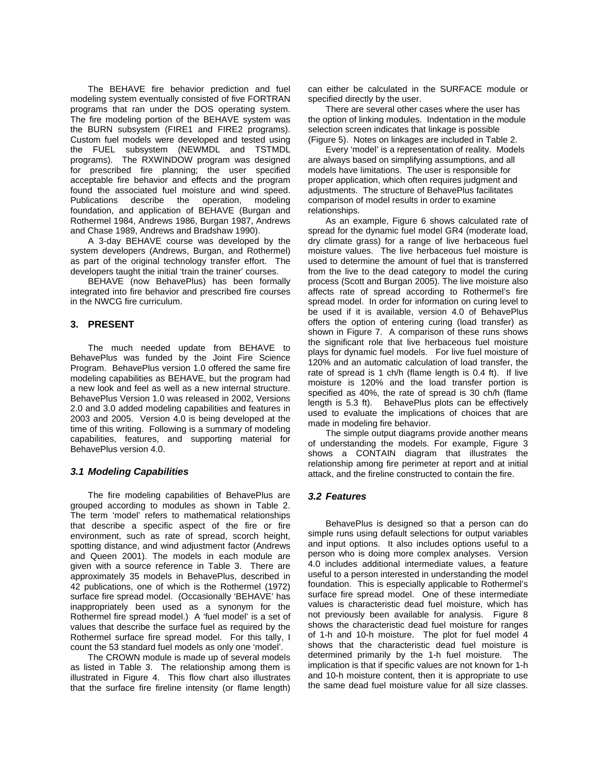The BEHAVE fire behavior prediction and fuel modeling system eventually consisted of five FORTRAN programs that ran under the DOS operating system. The fire modeling portion of the BEHAVE system was the BURN subsystem (FIRE1 and FIRE2 programs). Custom fuel models were developed and tested using the FUEL subsystem (NEWMDL and TSTMDL programs). The RXWINDOW program was designed for prescribed fire planning; the user specified acceptable fire behavior and effects and the program found the associated fuel moisture and wind speed. Publications describe the operation, modeling foundation, and application of BEHAVE (Burgan and Rothermel 1984, Andrews 1986, Burgan 1987, Andrews and Chase 1989, Andrews and Bradshaw 1990).

A 3-day BEHAVE course was developed by the system developers (Andrews, Burgan, and Rothermel) as part of the original technology transfer effort. The developers taught the initial 'train the trainer' courses.

BEHAVE (now BehavePlus) has been formally integrated into fire behavior and prescribed fire courses in the NWCG fire curriculum.

## **3. PRESENT**

The much needed update from BEHAVE to BehavePlus was funded by the Joint Fire Science Program. BehavePlus version 1.0 offered the same fire modeling capabilities as BEHAVE, but the program had a new look and feel as well as a new internal structure. BehavePlus Version 1.0 was released in 2002, Versions 2.0 and 3.0 added modeling capabilities and features in 2003 and 2005. Version 4.0 is being developed at the time of this writing. Following is a summary of modeling capabilities, features, and supporting material for BehavePlus version 4.0.

# *3.1 Modeling Capabilities*

The fire modeling capabilities of BehavePlus are grouped according to modules as shown in Table 2. The term 'model' refers to mathematical relationships that describe a specific aspect of the fire or fire environment, such as rate of spread, scorch height, spotting distance, and wind adjustment factor (Andrews and Queen 2001). The models in each module are given with a source reference in [Table 3.](#page-5-0) There are approximately 35 models in BehavePlus, described in 42 publications, one of which is the Rothermel (1972) surface fire spread model. (Occasionally 'BEHAVE' has inappropriately been used as a synonym for the Rothermel fire spread model.) A 'fuel model' is a set of values that describe the surface fuel as required by the Rothermel surface fire spread model. For this tally, I count the 53 standard fuel models as only one 'model'.

The CROWN module is made up of several models as listed in [Table 3.](#page-5-0) The relationship among them is illustrated in [Figure 4.](#page-7-0) This flow chart also illustrates that the surface fire fireline intensity (or flame length) can either be calculated in the SURFACE module or specified directly by the user.

There are several other cases where the user has the option of linking modules. Indentation in the module selection screen indicates that linkage is possible ([Figure 5\)](#page-7-1). Notes on linkages are included in Table 2.

Every 'model' is a representation of reality. Models are always based on simplifying assumptions, and all models have limitations. The user is responsible for proper application, which often requires judgment and adjustments. The structure of BehavePlus facilitates comparison of model results in order to examine relationships.

As an example, [Figure 6](#page-8-0) shows calculated rate of spread for the dynamic fuel model GR4 (moderate load, dry climate grass) for a range of live herbaceous fuel moisture values. The live herbaceous fuel moisture is used to determine the amount of fuel that is transferred from the live to the dead category to model the curing process (Scott and Burgan 2005). The live moisture also affects rate of spread according to Rothermel's fire spread model. In order for information on curing level to be used if it is available, version 4.0 of BehavePlus offers the option of entering curing (load transfer) as shown in [Figure 7.](#page-8-1) A comparison of these runs shows the significant role that live herbaceous fuel moisture plays for dynamic fuel models. For live fuel moisture of 120% and an automatic calculation of load transfer, the rate of spread is 1 ch/h (flame length is 0.4 ft). If live moisture is 120% and the load transfer portion is specified as 40%, the rate of spread is 30 ch/h (flame length is 5.3 ft). BehavePlus plots can be effectively used to evaluate the implications of choices that are made in modeling fire behavior.

The simple output diagrams provide another means of understanding the models. For example, [Figure 3](#page-1-1) shows a CONTAIN diagram that illustrates the relationship among fire perimeter at report and at initial attack, and the fireline constructed to contain the fire.

# *3.2 Features*

BehavePlus is designed so that a person can do simple runs using default selections for output variables and input options. It also includes options useful to a person who is doing more complex analyses. Version 4.0 includes additional intermediate values, a feature useful to a person interested in understanding the model foundation. This is especially applicable to Rothermel's surface fire spread model. One of these intermediate values is characteristic dead fuel moisture, which has not previously been available for analysis. [Figure 8](#page-9-0) shows the characteristic dead fuel moisture for ranges of 1-h and 10-h moisture. The plot for fuel model 4 shows that the characteristic dead fuel moisture is determined primarily by the 1-h fuel moisture. The implication is that if specific values are not known for 1-h and 10-h moisture content, then it is appropriate to use the same dead fuel moisture value for all size classes.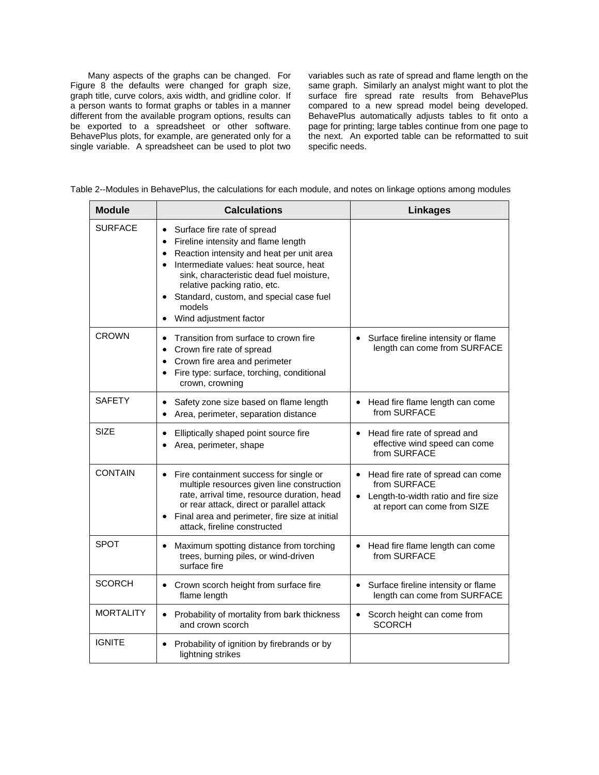Many aspects of the graphs can be changed. For [Figure 8](#page-9-0) the defaults were changed for graph size, graph title, curve colors, axis width, and gridline color. If a person wants to format graphs or tables in a manner different from the available program options, results can be exported to a spreadsheet or other software. BehavePlus plots, for example, are generated only for a single variable. A spreadsheet can be used to plot two variables such as rate of spread and flame length on the same graph. Similarly an analyst might want to plot the surface fire spread rate results from BehavePlus compared to a new spread model being developed. BehavePlus automatically adjusts tables to fit onto a page for printing; large tables continue from one page to the next. An exported table can be reformatted to suit specific needs.

|  | Table 2--Modules in BehavePlus, the calculations for each module, and notes on linkage options among modules |
|--|--------------------------------------------------------------------------------------------------------------|
|  |                                                                                                              |

| <b>Module</b>    | <b>Calculations</b>                                                                                                                                                                                                                                                                                                                                                                   | <b>Linkages</b>                                                                                                                       |
|------------------|---------------------------------------------------------------------------------------------------------------------------------------------------------------------------------------------------------------------------------------------------------------------------------------------------------------------------------------------------------------------------------------|---------------------------------------------------------------------------------------------------------------------------------------|
| <b>SURFACE</b>   | Surface fire rate of spread<br>$\bullet$<br>Fireline intensity and flame length<br>$\bullet$<br>Reaction intensity and heat per unit area<br>$\bullet$<br>Intermediate values: heat source, heat<br>$\bullet$<br>sink, characteristic dead fuel moisture,<br>relative packing ratio, etc.<br>Standard, custom, and special case fuel<br>models<br>Wind adjustment factor<br>$\bullet$ |                                                                                                                                       |
| <b>CROWN</b>     | Transition from surface to crown fire<br>$\bullet$<br>Crown fire rate of spread<br>$\bullet$<br>Crown fire area and perimeter<br>$\bullet$<br>Fire type: surface, torching, conditional<br>$\bullet$<br>crown, crowning                                                                                                                                                               | Surface fireline intensity or flame<br>length can come from SURFACE                                                                   |
| <b>SAFETY</b>    | Safety zone size based on flame length<br>$\bullet$<br>Area, perimeter, separation distance                                                                                                                                                                                                                                                                                           | Head fire flame length can come<br>from SURFACE                                                                                       |
| SIZE             | Elliptically shaped point source fire<br>$\bullet$<br>Area, perimeter, shape                                                                                                                                                                                                                                                                                                          | Head fire rate of spread and<br>effective wind speed can come<br>from SURFACE                                                         |
| <b>CONTAIN</b>   | Fire containment success for single or<br>$\bullet$<br>multiple resources given line construction<br>rate, arrival time, resource duration, head<br>or rear attack, direct or parallel attack<br>Final area and perimeter, fire size at initial<br>$\bullet$<br>attack, fireline constructed                                                                                          | Head fire rate of spread can come<br>from SURFACE<br>Length-to-width ratio and fire size<br>$\bullet$<br>at report can come from SIZE |
| <b>SPOT</b>      | Maximum spotting distance from torching<br>$\bullet$<br>trees, burning piles, or wind-driven<br>surface fire                                                                                                                                                                                                                                                                          | Head fire flame length can come<br>from SURFACE                                                                                       |
| <b>SCORCH</b>    | Crown scorch height from surface fire<br>flame length                                                                                                                                                                                                                                                                                                                                 | Surface fireline intensity or flame<br>length can come from SURFACE                                                                   |
| <b>MORTALITY</b> | Probability of mortality from bark thickness<br>$\bullet$<br>and crown scorch                                                                                                                                                                                                                                                                                                         | Scorch height can come from<br>$\bullet$<br><b>SCORCH</b>                                                                             |
| <b>IGNITE</b>    | Probability of ignition by firebrands or by<br>lightning strikes                                                                                                                                                                                                                                                                                                                      |                                                                                                                                       |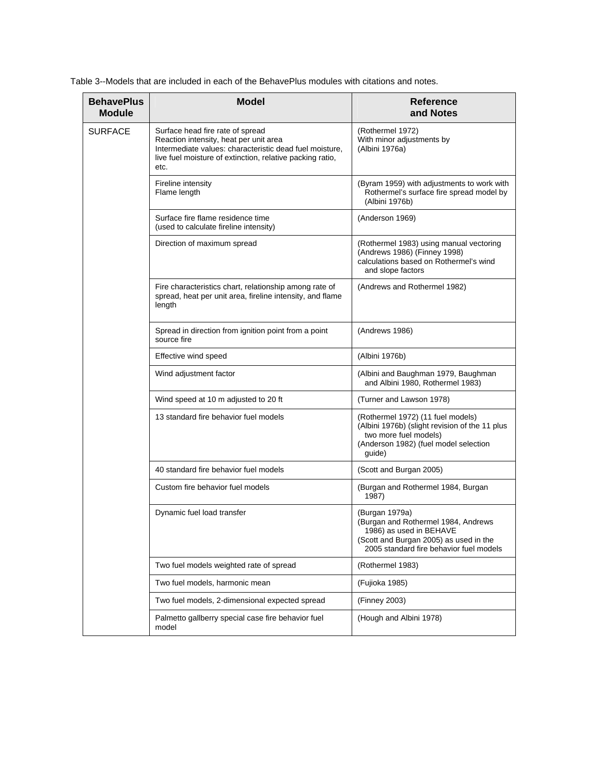<span id="page-5-0"></span>Table 3--Models that are included in each of the BehavePlus modules with citations and notes.

| <b>BehavePlus</b><br><b>Module</b> | <b>Model</b>                                                                                                                                                                                               | <b>Reference</b><br>and Notes                                                                                                                                         |
|------------------------------------|------------------------------------------------------------------------------------------------------------------------------------------------------------------------------------------------------------|-----------------------------------------------------------------------------------------------------------------------------------------------------------------------|
| <b>SURFACE</b>                     | Surface head fire rate of spread<br>Reaction intensity, heat per unit area<br>Intermediate values: characteristic dead fuel moisture,<br>live fuel moisture of extinction, relative packing ratio,<br>etc. | (Rothermel 1972)<br>With minor adjustments by<br>(Albini 1976a)                                                                                                       |
|                                    | Fireline intensity<br>Flame length                                                                                                                                                                         | (Byram 1959) with adjustments to work with<br>Rothermel's surface fire spread model by<br>(Albini 1976b)                                                              |
|                                    | Surface fire flame residence time<br>(used to calculate fireline intensity)                                                                                                                                | (Anderson 1969)                                                                                                                                                       |
|                                    | Direction of maximum spread                                                                                                                                                                                | (Rothermel 1983) using manual vectoring<br>(Andrews 1986) (Finney 1998)<br>calculations based on Rothermel's wind<br>and slope factors                                |
|                                    | Fire characteristics chart, relationship among rate of<br>spread, heat per unit area, fireline intensity, and flame<br>length                                                                              | (Andrews and Rothermel 1982)                                                                                                                                          |
|                                    | Spread in direction from ignition point from a point<br>source fire                                                                                                                                        | (Andrews 1986)                                                                                                                                                        |
|                                    | Effective wind speed                                                                                                                                                                                       | (Albini 1976b)                                                                                                                                                        |
|                                    | Wind adjustment factor                                                                                                                                                                                     | (Albini and Baughman 1979, Baughman<br>and Albini 1980, Rothermel 1983)                                                                                               |
|                                    | Wind speed at 10 m adjusted to 20 ft                                                                                                                                                                       | (Turner and Lawson 1978)                                                                                                                                              |
|                                    | 13 standard fire behavior fuel models                                                                                                                                                                      | (Rothermel 1972) (11 fuel models)<br>(Albini 1976b) (slight revision of the 11 plus<br>two more fuel models)<br>(Anderson 1982) (fuel model selection<br>guide)       |
|                                    | 40 standard fire behavior fuel models                                                                                                                                                                      | (Scott and Burgan 2005)                                                                                                                                               |
|                                    | Custom fire behavior fuel models                                                                                                                                                                           | (Burgan and Rothermel 1984, Burgan<br>1987)                                                                                                                           |
|                                    | Dynamic fuel load transfer                                                                                                                                                                                 | (Burgan 1979a)<br>(Burgan and Rothermel 1984, Andrews<br>1986) as used in BEHAVE<br>(Scott and Burgan 2005) as used in the<br>2005 standard fire behavior fuel models |
|                                    | Two fuel models weighted rate of spread                                                                                                                                                                    | (Rothermel 1983)                                                                                                                                                      |
|                                    | Two fuel models, harmonic mean                                                                                                                                                                             | (Fujioka 1985)                                                                                                                                                        |
|                                    | Two fuel models, 2-dimensional expected spread                                                                                                                                                             | (Finney 2003)                                                                                                                                                         |
|                                    | Palmetto gallberry special case fire behavior fuel<br>model                                                                                                                                                | (Hough and Albini 1978)                                                                                                                                               |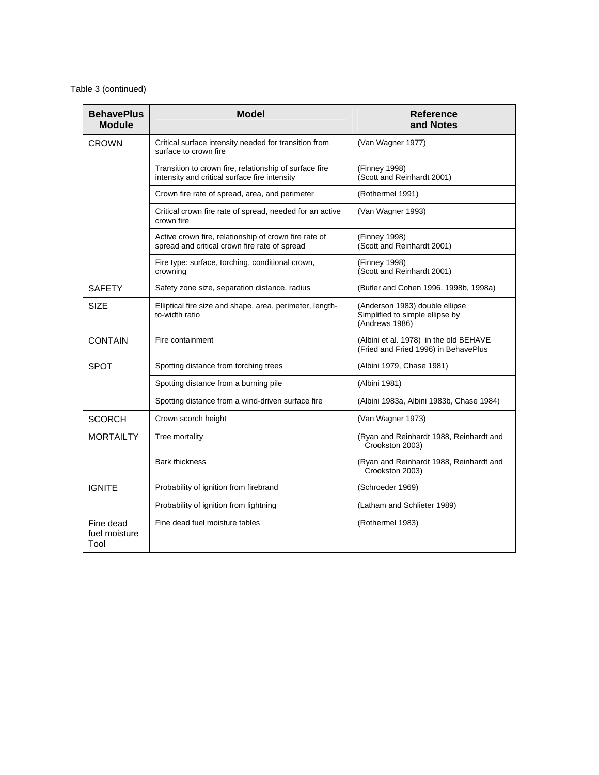# Table 3 (continued)

| <b>BehavePlus</b><br><b>Module</b> | <b>Model</b>                                                                                            | <b>Reference</b><br>and Notes                                                       |
|------------------------------------|---------------------------------------------------------------------------------------------------------|-------------------------------------------------------------------------------------|
| CROWN                              | Critical surface intensity needed for transition from<br>surface to crown fire                          | (Van Wagner 1977)                                                                   |
|                                    | Transition to crown fire, relationship of surface fire<br>intensity and critical surface fire intensity | (Finney 1998)<br>(Scott and Reinhardt 2001)                                         |
|                                    | Crown fire rate of spread, area, and perimeter                                                          | (Rothermel 1991)                                                                    |
|                                    | Critical crown fire rate of spread, needed for an active<br>crown fire                                  | (Van Wagner 1993)                                                                   |
|                                    | Active crown fire, relationship of crown fire rate of<br>spread and critical crown fire rate of spread  | (Finney 1998)<br>(Scott and Reinhardt 2001)                                         |
|                                    | Fire type: surface, torching, conditional crown,<br>crowning                                            | (Finney 1998)<br>(Scott and Reinhardt 2001)                                         |
| <b>SAFETY</b>                      | Safety zone size, separation distance, radius                                                           | (Butler and Cohen 1996, 1998b, 1998a)                                               |
| <b>SIZE</b>                        | Elliptical fire size and shape, area, perimeter, length-<br>to-width ratio                              | (Anderson 1983) double ellipse<br>Simplified to simple ellipse by<br>(Andrews 1986) |
| <b>CONTAIN</b>                     | Fire containment                                                                                        | (Albini et al. 1978) in the old BEHAVE<br>(Fried and Fried 1996) in BehavePlus      |
| <b>SPOT</b>                        | Spotting distance from torching trees                                                                   | (Albini 1979, Chase 1981)                                                           |
|                                    | Spotting distance from a burning pile                                                                   | (Albini 1981)                                                                       |
|                                    | Spotting distance from a wind-driven surface fire                                                       | (Albini 1983a, Albini 1983b, Chase 1984)                                            |
| SCORCH                             | Crown scorch height                                                                                     | (Van Wagner 1973)                                                                   |
| <b>MORTAILTY</b>                   | Tree mortality                                                                                          | (Ryan and Reinhardt 1988, Reinhardt and<br>Crookston 2003)                          |
|                                    | <b>Bark thickness</b>                                                                                   | (Ryan and Reinhardt 1988, Reinhardt and<br>Crookston 2003)                          |
| <b>IGNITE</b>                      | Probability of ignition from firebrand                                                                  | (Schroeder 1969)                                                                    |
|                                    | Probability of ignition from lightning                                                                  | (Latham and Schlieter 1989)                                                         |
| Fine dead<br>fuel moisture<br>Tool | Fine dead fuel moisture tables                                                                          | (Rothermel 1983)                                                                    |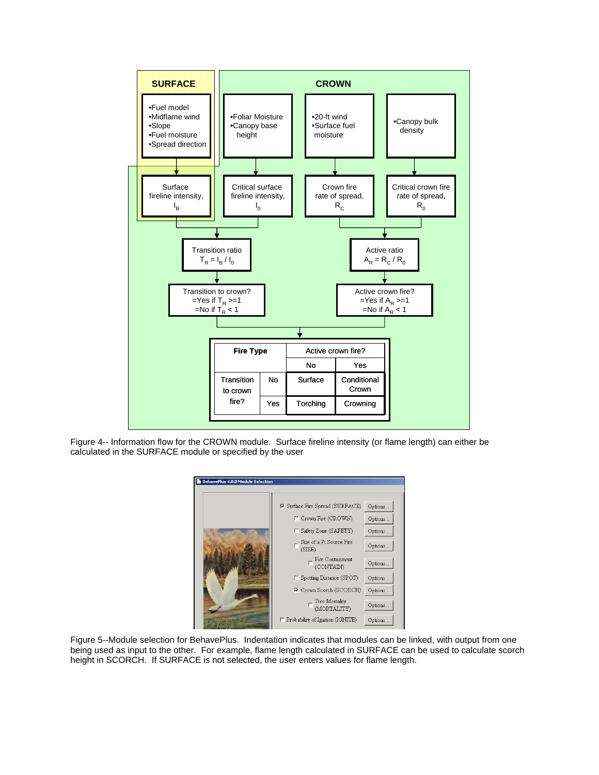

<span id="page-7-0"></span>Figure 4-- Information flow for the CROWN module. Surface fireline intensity (or flame length) can either be calculated in the SURFACE module or specified by the user

| <b>E</b> BehavePlus 4.0.0 Module Selection |                                                                 |          |
|--------------------------------------------|-----------------------------------------------------------------|----------|
|                                            | <b><math>\triangledown</math></b> Surface Fire Spread (SURFACE) | Options. |
|                                            | Crown Fire (CROWN)<br>п                                         | Options. |
|                                            | Safety Zone (SAFETY)                                            | Options. |
|                                            | Size of a Pt Source Fire<br>(SIZE)                              | Options. |
|                                            | $\Box$ Fire Containment (CONTAIN)                               | Options. |
|                                            | Spotting Distance (SPOT)                                        | Options. |
|                                            | <b>▽</b> Crown Scorch (SCORCH)                                  | Options. |
|                                            | Tree Mortality<br><b>MORTALITY</b>                              | Options. |
|                                            | F Probability of Ignition (IGNITE)                              | Options. |

<span id="page-7-1"></span>Figure 5--Module selection for BehavePlus. Indentation indicates that modules can be linked, with output from one being used as input to the other. For example, flame length calculated in SURFACE can be used to calculate scorch height in SCORCH. If SURFACE is not selected, the user enters values for flame length.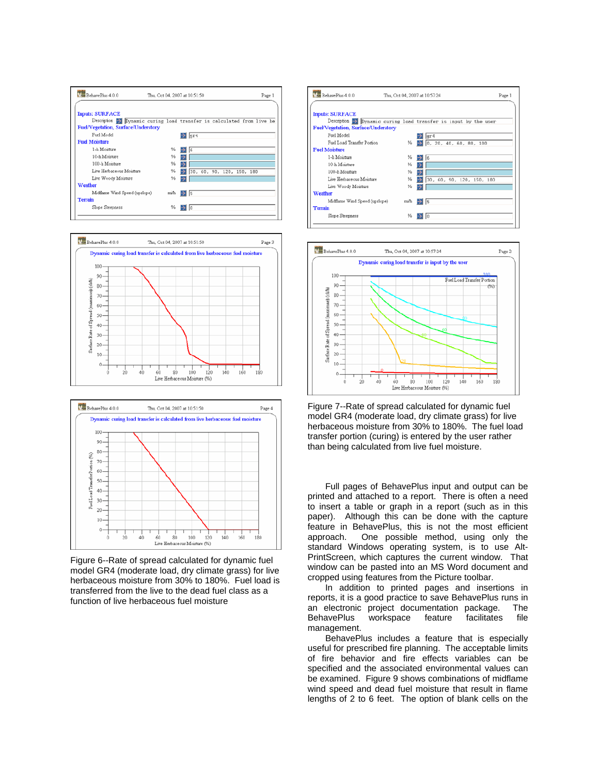



<span id="page-8-1"></span>

<span id="page-8-0"></span>Figure 6--Rate of spread calculated for dynamic fuel model GR4 (moderate load, dry climate grass) for live herbaceous moisture from 30% to 180%. Fuel load is transferred from the live to the dead fuel class as a function of live herbaceous fuel moisture





Figure 7--Rate of spread calculated for dynamic fuel model GR4 (moderate load, dry climate grass) for live herbaceous moisture from 30% to 180%. The fuel load transfer portion (curing) is entered by the user rather than being calculated from live fuel moisture.

Full pages of BehavePlus input and output can be printed and attached to a report. There is often a need to insert a table or graph in a report (such as in this paper). Although this can be done with the capture feature in BehavePlus, this is not the most efficient approach. One possible method, using only the standard Windows operating system, is to use Alt-PrintScreen, which captures the current window. That window can be pasted into an MS Word document and cropped using features from the Picture toolbar.

In addition to printed pages and insertions in reports, it is a good practice to save BehavePlus runs in an electronic project documentation package. The BehavePlus workspace feature facilitates file management.

BehavePlus includes a feature that is especially useful for prescribed fire planning. The acceptable limits of fire behavior and fire effects variables can be specified and the associated environmental values can be examined. [Figure 9](#page-10-0) shows combinations of midflame wind speed and dead fuel moisture that result in flame lengths of 2 to 6 feet. The option of blank cells on the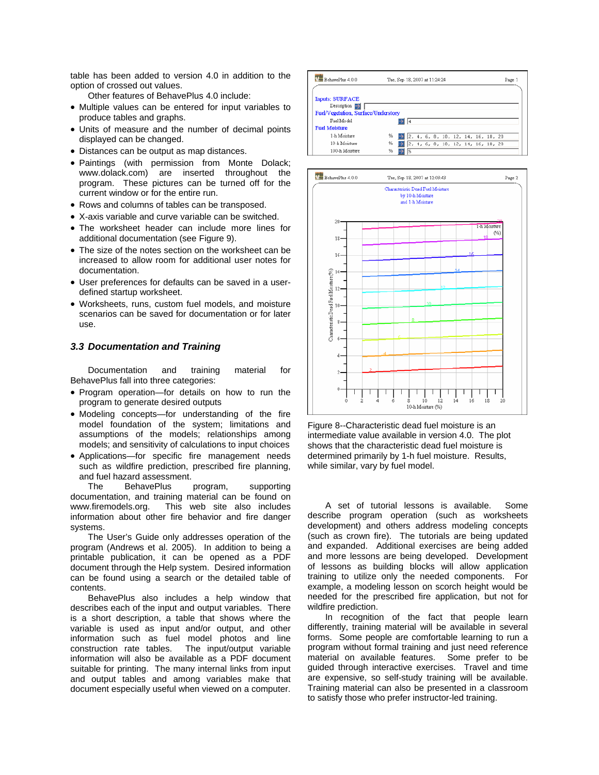table has been added to version 4.0 in addition to the option of crossed out values.

Other features of BehavePlus 4.0 include:

- Multiple values can be entered for input variables to produce tables and graphs.
- Units of measure and the number of decimal points displayed can be changed.
- Distances can be output as map distances.
- Paintings (with permission from Monte Dolack; www.dolack.com) are inserted throughout the program. These pictures can be turned off for the current window or for the entire run.
- Rows and columns of tables can be transposed.
- X-axis variable and curve variable can be switched.
- The worksheet header can include more lines for additional documentation (see [Figure 9\)](#page-10-0).
- The size of the notes section on the worksheet can be increased to allow room for additional user notes for documentation.
- User preferences for defaults can be saved in a userdefined startup worksheet.
- Worksheets, runs, custom fuel models, and moisture scenarios can be saved for documentation or for later use.

#### *3.3 Documentation and Training*

Documentation and training material for BehavePlus fall into three categories:

- Program operation—for details on how to run the program to generate desired outputs
- <span id="page-9-0"></span>• Modeling concepts—for understanding of the fire model foundation of the system; limitations and assumptions of the models; relationships among models; and sensitivity of calculations to input choices
- Applications—for specific fire management needs such as wildfire prediction, prescribed fire planning, and fuel hazard assessment.

The BehavePlus program, supporting documentation, and training material can be found on www.firemodels.org. This web site also includes information about other fire behavior and fire danger systems.

The User's Guide only addresses operation of the program (Andrews et al. 2005). In addition to being a printable publication, it can be opened as a PDF document through the Help system. Desired information can be found using a search or the detailed table of contents.

BehavePlus also includes a help window that describes each of the input and output variables. There is a short description, a table that shows where the variable is used as input and/or output, and other information such as fuel model photos and line construction rate tables. The input/output variable information will also be available as a PDF document suitable for printing. The many internal links from input and output tables and among variables make that document especially useful when viewed on a computer.





Figure 8--Characteristic dead fuel moisture is an intermediate value available in version 4.0. The plot shows that the characteristic dead fuel moisture is determined primarily by 1-h fuel moisture. Results, while similar, vary by fuel model.

A set of tutorial lessons is available. Some describe program operation (such as worksheets development) and others address modeling concepts (such as crown fire). The tutorials are being updated and expanded. Additional exercises are being added and more lessons are being developed. Development of lessons as building blocks will allow application training to utilize only the needed components. For example, a modeling lesson on scorch height would be needed for the prescribed fire application, but not for wildfire prediction.

In recognition of the fact that people learn differently, training material will be available in several forms. Some people are comfortable learning to run a program without formal training and just need reference material on available features. Some prefer to be guided through interactive exercises. Travel and time are expensive, so self-study training will be available. Training material can also be presented in a classroom to satisfy those who prefer instructor-led training.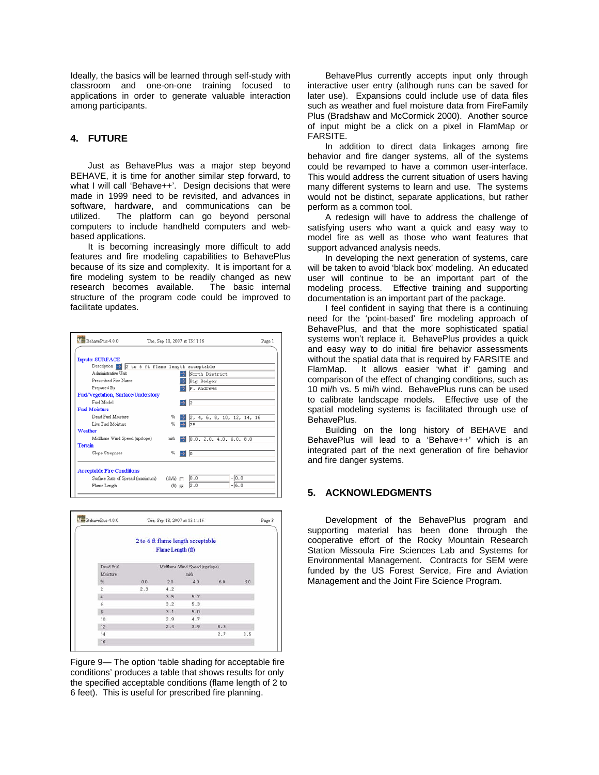Ideally, the basics will be learned through self-study with classroom and one-on-one training focused to applications in order to generate valuable interaction among participants.

# **4. FUTURE**

Just as BehavePlus was a major step beyond BEHAVE, it is time for another similar step forward, to what I will call 'Behave++'. Design decisions that were made in 1999 need to be revisited, and advances in software, hardware, and communications can be utilized. The platform can go beyond personal computers to include handheld computers and webbased applications.

It is becoming increasingly more difficult to add features and fire modeling capabilities to BehavePlus because of its size and complexity. It is important for a fire modeling system to be readily changed as new research becomes available. The basic internal structure of the program code could be improved to facilitate updates.



| BehavePlus 4.0.0 |     | Tue, Sep 18, 2007 at 13:11:16                          |                               |     |     | Page 3 |
|------------------|-----|--------------------------------------------------------|-------------------------------|-----|-----|--------|
|                  |     | 2 to 6 ft flame length acceptable<br>Flame Length (ft) |                               |     |     |        |
| Dead Fuel        |     |                                                        | Midflame Wind Speed (upslope) |     |     |        |
| Moisture         |     |                                                        | mich                          |     |     |        |
| %                | 0.0 | 20                                                     | 4.0                           | 6.0 | 8.0 |        |
| $\overline{2}$   | 2.3 | 4.2                                                    |                               |     |     |        |
| $\overline{4}$   |     | 3.5                                                    | 5.7                           |     |     |        |
| 6                |     | 3.2                                                    | 5.3                           |     |     |        |
| $\overline{8}$   |     | 3.1                                                    | 5.0                           |     |     |        |
| 10               |     | 2.9                                                    | 4.7                           |     |     |        |
| 12               |     | 2.4                                                    | 3.9                           | 5.3 |     |        |
| 14               |     |                                                        |                               | 2.7 | 3.5 |        |
| 16               |     |                                                        |                               |     |     |        |

<span id="page-10-0"></span>Figure 9— The option 'table shading for acceptable fire conditions' produces a table that shows results for only the specified acceptable conditions (flame length of 2 to 6 feet). This is useful for prescribed fire planning.

BehavePlus currently accepts input only through interactive user entry (although runs can be saved for later use). Expansions could include use of data files such as weather and fuel moisture data from FireFamily Plus (Bradshaw and McCormick 2000). Another source of input might be a click on a pixel in FlamMap or FARSITE.

In addition to direct data linkages among fire behavior and fire danger systems, all of the systems could be revamped to have a common user-interface. This would address the current situation of users having many different systems to learn and use. The systems would not be distinct, separate applications, but rather perform as a common tool.

A redesign will have to address the challenge of satisfying users who want a quick and easy way to model fire as well as those who want features that support advanced analysis needs.

In developing the next generation of systems, care will be taken to avoid 'black box' modeling. An educated user will continue to be an important part of the modeling process. Effective training and supporting documentation is an important part of the package.

I feel confident in saying that there is a continuing need for the 'point-based' fire modeling approach of BehavePlus, and that the more sophisticated spatial systems won't replace it. BehavePlus provides a quick and easy way to do initial fire behavior assessments without the spatial data that is required by FARSITE and FlamMap. It allows easier 'what if' gaming and comparison of the effect of changing conditions, such as 10 mi/h vs. 5 mi/h wind. BehavePlus runs can be used to calibrate landscape models. Effective use of the spatial modeling systems is facilitated through use of BehavePlus.

Building on the long history of BEHAVE and BehavePlus will lead to a 'Behave++' which is an integrated part of the next generation of fire behavior and fire danger systems.

# **5. ACKNOWLEDGMENTS**

Development of the BehavePlus program and supporting material has been done through the cooperative effort of the Rocky Mountain Research Station Missoula Fire Sciences Lab and Systems for Environmental Management. Contracts for SEM were funded by the US Forest Service, Fire and Aviation Management and the Joint Fire Science Program.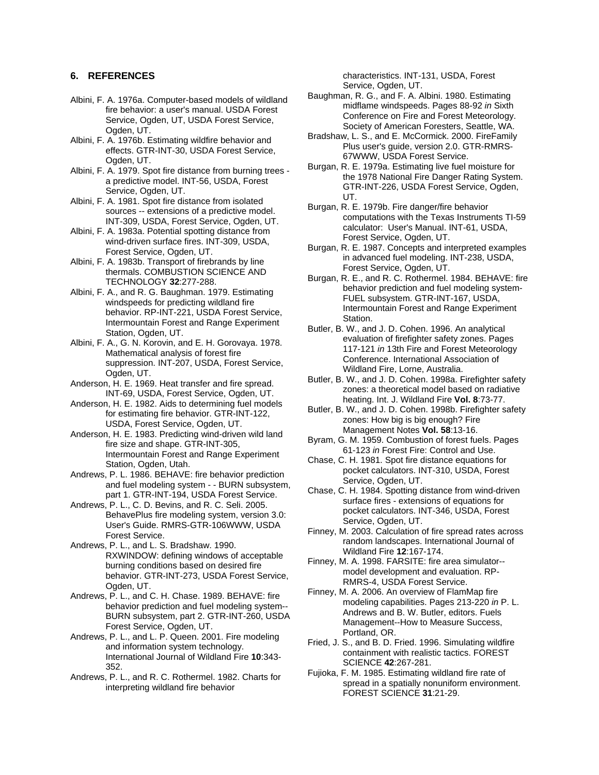## **6. REFERENCES**

- Albini, F. A. 1976a. Computer-based models of wildland fire behavior: a user's manual. USDA Forest Service, Ogden, UT, USDA Forest Service, Ogden, UT.
- Albini, F. A. 1976b. Estimating wildfire behavior and effects. GTR-INT-30, USDA Forest Service, Ogden, UT.
- Albini, F. A. 1979. Spot fire distance from burning trees a predictive model. INT-56, USDA, Forest Service, Ogden, UT.
- Albini, F. A. 1981. Spot fire distance from isolated sources -- extensions of a predictive model. INT-309, USDA, Forest Service, Ogden, UT.
- Albini, F. A. 1983a. Potential spotting distance from wind-driven surface fires. INT-309, USDA, Forest Service, Ogden, UT.
- Albini, F. A. 1983b. Transport of firebrands by line thermals. COMBUSTION SCIENCE AND TECHNOLOGY **32**:277-288.
- Albini, F. A., and R. G. Baughman. 1979. Estimating windspeeds for predicting wildland fire behavior. RP-INT-221, USDA Forest Service, Intermountain Forest and Range Experiment Station, Ogden, UT.
- Albini, F. A., G. N. Korovin, and E. H. Gorovaya. 1978. Mathematical analysis of forest fire suppression. INT-207, USDA, Forest Service, Ogden, UT.
- Anderson, H. E. 1969. Heat transfer and fire spread. INT-69, USDA, Forest Service, Ogden, UT.
- Anderson, H. E. 1982. Aids to determining fuel models for estimating fire behavior. GTR-INT-122, USDA, Forest Service, Ogden, UT.
- Anderson, H. E. 1983. Predicting wind-driven wild land fire size and shape. GTR-INT-305, Intermountain Forest and Range Experiment Station, Ogden, Utah.
- Andrews, P. L. 1986. BEHAVE: fire behavior prediction and fuel modeling system - - BURN subsystem, part 1. GTR-INT-194, USDA Forest Service.
- Andrews, P. L., C. D. Bevins, and R. C. Seli. 2005. BehavePlus fire modeling system, version 3.0: User's Guide. RMRS-GTR-106WWW, USDA Forest Service.
- Andrews, P. L., and L. S. Bradshaw. 1990. RXWINDOW: defining windows of acceptable burning conditions based on desired fire behavior. GTR-INT-273, USDA Forest Service, Ogden, UT.
- Andrews, P. L., and C. H. Chase. 1989. BEHAVE: fire behavior prediction and fuel modeling system-- BURN subsystem, part 2. GTR-INT-260, USDA Forest Service, Ogden, UT.
- Andrews, P. L., and L. P. Queen. 2001. Fire modeling and information system technology. International Journal of Wildland Fire **10**:343- 352.
- Andrews, P. L., and R. C. Rothermel. 1982. Charts for interpreting wildland fire behavior

characteristics. INT-131, USDA, Forest Service, Ogden, UT.

- Baughman, R. G., and F. A. Albini. 1980. Estimating midflame windspeeds. Pages 88-92 *in* Sixth Conference on Fire and Forest Meteorology. Society of American Foresters, Seattle, WA.
- Bradshaw, L. S., and E. McCormick. 2000. FireFamily Plus user's guide, version 2.0. GTR-RMRS-67WWW, USDA Forest Service.
- Burgan, R. E. 1979a. Estimating live fuel moisture for the 1978 National Fire Danger Rating System. GTR-INT-226, USDA Forest Service, Ogden, UT.
- Burgan, R. E. 1979b. Fire danger/fire behavior computations with the Texas Instruments TI-59 calculator: User's Manual. INT-61, USDA, Forest Service, Ogden, UT.
- Burgan, R. E. 1987. Concepts and interpreted examples in advanced fuel modeling. INT-238, USDA, Forest Service, Ogden, UT.
- Burgan, R. E., and R. C. Rothermel. 1984. BEHAVE: fire behavior prediction and fuel modeling system-FUEL subsystem. GTR-INT-167, USDA, Intermountain Forest and Range Experiment Station.
- Butler, B. W., and J. D. Cohen. 1996. An analytical evaluation of firefighter safety zones. Pages 117-121 *in* 13th Fire and Forest Meteorology Conference. International Association of Wildland Fire, Lorne, Australia.
- Butler, B. W., and J. D. Cohen. 1998a. Firefighter safety zones: a theoretical model based on radiative heating. Int. J. Wildland Fire **Vol. 8**:73-77.
- Butler, B. W., and J. D. Cohen. 1998b. Firefighter safety zones: How big is big enough? Fire Management Notes **Vol. 58**:13-16.
- Byram, G. M. 1959. Combustion of forest fuels. Pages 61-123 *in* Forest Fire: Control and Use.
- Chase, C. H. 1981. Spot fire distance equations for pocket calculators. INT-310, USDA, Forest Service, Ogden, UT.
- Chase, C. H. 1984. Spotting distance from wind-driven surface fires - extensions of equations for pocket calculators. INT-346, USDA, Forest Service, Ogden, UT.
- Finney, M. 2003. Calculation of fire spread rates across random landscapes. International Journal of Wildland Fire **12**:167-174.
- Finney, M. A. 1998. FARSITE: fire area simulator- model development and evaluation. RP-RMRS-4, USDA Forest Service.
- Finney, M. A. 2006. An overview of FlamMap fire modeling capabilities. Pages 213-220 *in* P. L. Andrews and B. W. Butler, editors. Fuels Management--How to Measure Success, Portland, OR.
- Fried, J. S., and B. D. Fried. 1996. Simulating wildfire containment with realistic tactics. FOREST SCIENCE **42**:267-281.
- Fujioka, F. M. 1985. Estimating wildland fire rate of spread in a spatially nonuniform environment. FOREST SCIENCE **31**:21-29.